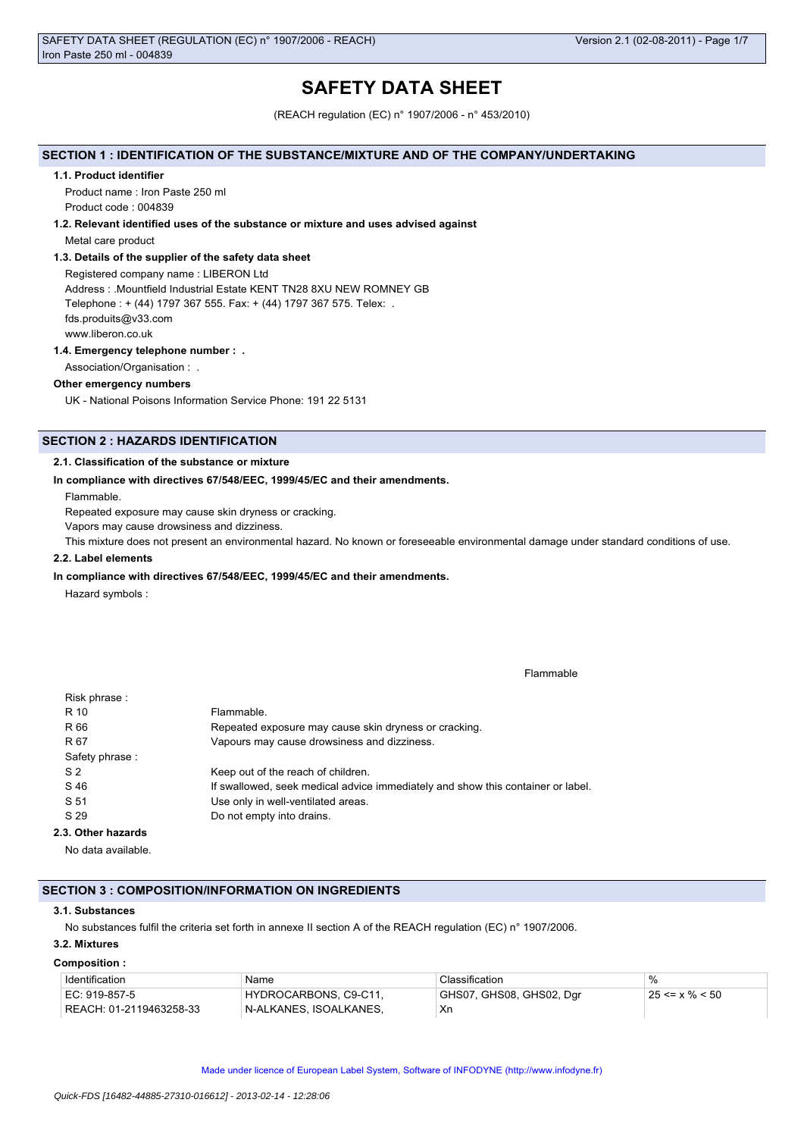# **SAFETY DATA SHEET**

(REACH regulation (EC) n° 1907/2006 - n° 453/2010)

## **SECTION 1 : IDENTIFICATION OF THE SUBSTANCE/MIXTURE AND OF THE COMPANY/UNDERTAKING**

#### **1.1. Product identifier**

Product name : Iron Paste 250 ml Product code : 004839

#### **1.2. Relevant identified uses of the substance or mixture and uses advised against**

Metal care product

## **1.3. Details of the supplier of the safety data sheet**

Registered company name : LIBERON Ltd Address : .Mountfield Industrial Estate KENT TN28 8XU NEW ROMNEY GB Telephone : + (44) 1797 367 555. Fax: + (44) 1797 367 575. Telex: . fds.produits@v33.com www.liberon.co.uk

## **1.4. Emergency telephone number : .**

Association/Organisation : .

## **Other emergency numbers**

UK - National Poisons Information Service Phone: 191 22 5131

## **SECTION 2 : HAZARDS IDENTIFICATION**

## **2.1. Classification of the substance or mixture**

#### **In compliance with directives 67/548/EEC, 1999/45/EC and their amendments.**

Flammable.

Repeated exposure may cause skin dryness or cracking.

Vapors may cause drowsiness and dizziness.

This mixture does not present an environmental hazard. No known or foreseeable environmental damage under standard conditions of use.

## **2.2. Label elements**

#### **In compliance with directives 67/548/EEC, 1999/45/EC and their amendments.**

Hazard symbols :

Flammable

| Risk phrase:       |                                                                                 |
|--------------------|---------------------------------------------------------------------------------|
| R 10               | Flammable.                                                                      |
| R 66               | Repeated exposure may cause skin dryness or cracking.                           |
| R 67               | Vapours may cause drowsiness and dizziness.                                     |
| Safety phrase:     |                                                                                 |
| S <sub>2</sub>     | Keep out of the reach of children.                                              |
| S 46               | If swallowed, seek medical advice immediately and show this container or label. |
| S 51               | Use only in well-ventilated areas.                                              |
| S 29               | Do not empty into drains.                                                       |
| 2.3. Other hazards |                                                                                 |
|                    |                                                                                 |

No data available.

## **SECTION 3 : COMPOSITION/INFORMATION ON INGREDIENTS**

#### **3.1. Substances**

No substances fulfil the criteria set forth in annexe II section A of the REACH regulation (EC) n° 1907/2006.

## **3.2. Mixtures Composition :**

| Identification                | Name                    | Classification           | $\%$                 |
|-------------------------------|-------------------------|--------------------------|----------------------|
| EC: 919-857-5                 | HYDROCARBONS, C9-C11,   | GHS07, GHS08, GHS02, Dgr | $25 \le x \% \le 50$ |
| REACH: 01-2119463258-33 REACH | ∣N-ALKANES. ISOALKANES. | Хn                       |                      |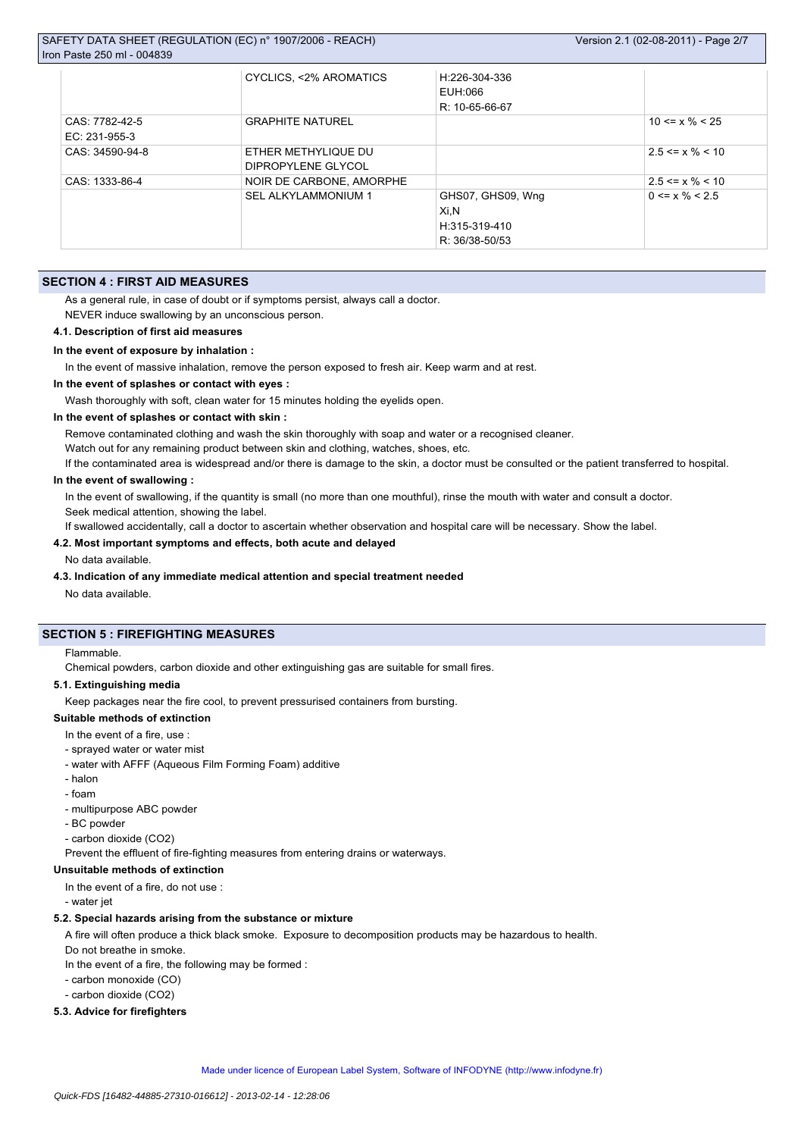|                 | CYCLICS, <2% AROMATICS     | H:226-304-336     |                       |
|-----------------|----------------------------|-------------------|-----------------------|
|                 |                            | EUH:066           |                       |
|                 |                            | R: 10-65-66-67    |                       |
| CAS: 7782-42-5  | <b>GRAPHITE NATUREL</b>    |                   | $10 \le x \% \le 25$  |
| EC: 231-955-3   |                            |                   |                       |
| CAS: 34590-94-8 | ETHER METHYLIQUE DU        |                   | $2.5 \le x \% \le 10$ |
|                 | DIPROPYLENE GLYCOL         |                   |                       |
| CAS: 1333-86-4  | NOIR DE CARBONE, AMORPHE   |                   | $2.5 \le x \% \le 10$ |
|                 | <b>SEL ALKYLAMMONIUM 1</b> | GHS07, GHS09, Wng | $0 \le x \% \le 2.5$  |
|                 |                            | Xi,N              |                       |
|                 |                            | H:315-319-410     |                       |
|                 |                            | R: 36/38-50/53    |                       |

## **SECTION 4 : FIRST AID MEASURES**

As a general rule, in case of doubt or if symptoms persist, always call a doctor.

NEVER induce swallowing by an unconscious person.

**4.1. Description of first aid measures**

## **In the event of exposure by inhalation :**

In the event of massive inhalation, remove the person exposed to fresh air. Keep warm and at rest.

**In the event of splashes or contact with eyes :**

Wash thoroughly with soft, clean water for 15 minutes holding the eyelids open.

## **In the event of splashes or contact with skin :**

Remove contaminated clothing and wash the skin thoroughly with soap and water or a recognised cleaner.

Watch out for any remaining product between skin and clothing, watches, shoes, etc.

If the contaminated area is widespread and/or there is damage to the skin, a doctor must be consulted or the patient transferred to hospital.

## **In the event of swallowing :**

In the event of swallowing, if the quantity is small (no more than one mouthful), rinse the mouth with water and consult a doctor. Seek medical attention, showing the label.

If swallowed accidentally, call a doctor to ascertain whether observation and hospital care will be necessary. Show the label.

## **4.2. Most important symptoms and effects, both acute and delayed**

No data available.

## **4.3. Indication of any immediate medical attention and special treatment needed**

No data available.

## **SECTION 5 : FIREFIGHTING MEASURES**

#### Flammable.

Chemical powders, carbon dioxide and other extinguishing gas are suitable for small fires.

## **5.1. Extinguishing media**

Keep packages near the fire cool, to prevent pressurised containers from bursting.

#### **Suitable methods of extinction**

- In the event of a fire, use :
- sprayed water or water mist
- water with AFFF (Aqueous Film Forming Foam) additive
- halon
- foam
- multipurpose ABC powder
- BC powder
- carbon dioxide (CO2)

Prevent the effluent of fire-fighting measures from entering drains or waterways.

## **Unsuitable methods of extinction**

In the event of a fire, do not use :

- water jet

#### **5.2. Special hazards arising from the substance or mixture**

A fire will often produce a thick black smoke. Exposure to decomposition products may be hazardous to health.

Do not breathe in smoke.

In the event of a fire, the following may be formed :

- carbon monoxide (CO)
- carbon dioxide (CO2)

## **5.3. Advice for firefighters**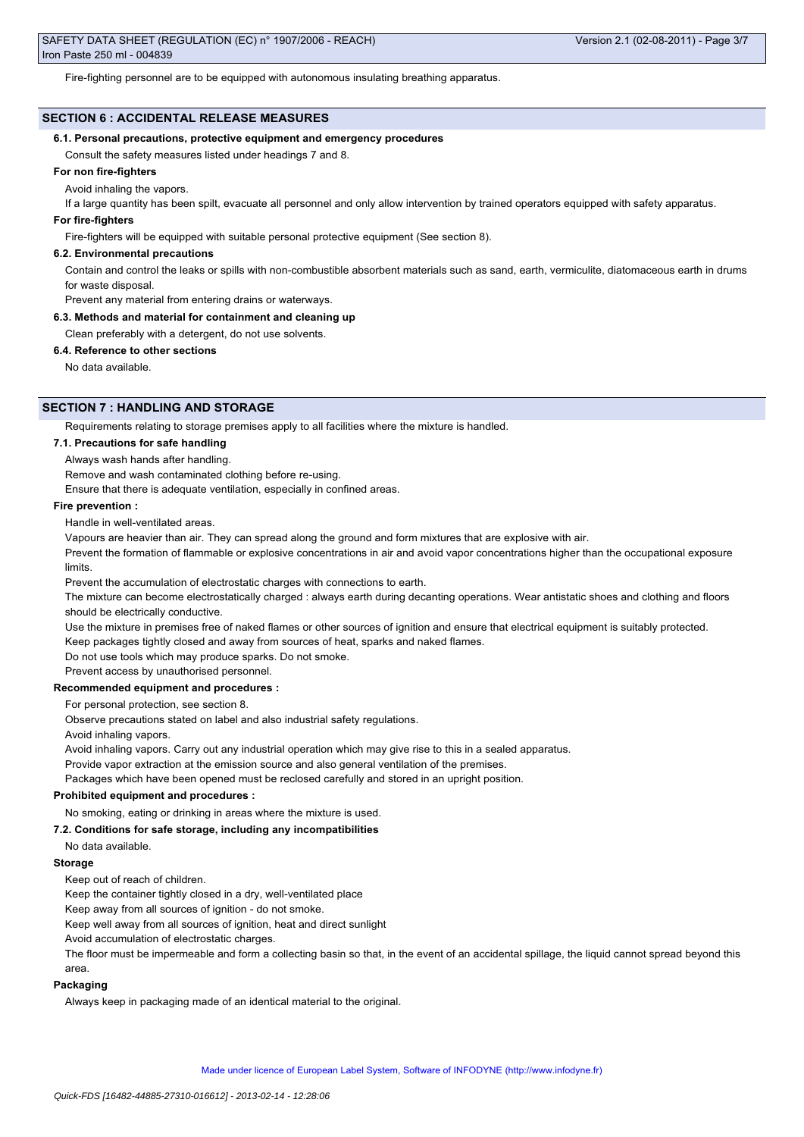Fire-fighting personnel are to be equipped with autonomous insulating breathing apparatus.

## **SECTION 6 : ACCIDENTAL RELEASE MEASURES**

## **6.1. Personal precautions, protective equipment and emergency procedures**

Consult the safety measures listed under headings 7 and 8.

## **For non fire-fighters**

Avoid inhaling the vapors.

If a large quantity has been spilt, evacuate all personnel and only allow intervention by trained operators equipped with safety apparatus.

## **For fire-fighters**

Fire-fighters will be equipped with suitable personal protective equipment (See section 8).

#### **6.2. Environmental precautions**

Contain and control the leaks or spills with non-combustible absorbent materials such as sand, earth, vermiculite, diatomaceous earth in drums for waste disposal.

Prevent any material from entering drains or waterways.

#### **6.3. Methods and material for containment and cleaning up**

Clean preferably with a detergent, do not use solvents.

**6.4. Reference to other sections**

No data available.

## **SECTION 7 : HANDLING AND STORAGE**

Requirements relating to storage premises apply to all facilities where the mixture is handled.

#### **7.1. Precautions for safe handling**

Always wash hands after handling.

Remove and wash contaminated clothing before re-using.

Ensure that there is adequate ventilation, especially in confined areas.

#### **Fire prevention :**

Handle in well-ventilated areas.

Vapours are heavier than air. They can spread along the ground and form mixtures that are explosive with air.

Prevent the formation of flammable or explosive concentrations in air and avoid vapor concentrations higher than the occupational exposure limits.

Prevent the accumulation of electrostatic charges with connections to earth.

The mixture can become electrostatically charged : always earth during decanting operations. Wear antistatic shoes and clothing and floors should be electrically conductive.

Use the mixture in premises free of naked flames or other sources of ignition and ensure that electrical equipment is suitably protected.

Keep packages tightly closed and away from sources of heat, sparks and naked flames.

Do not use tools which may produce sparks. Do not smoke.

Prevent access by unauthorised personnel.

#### **Recommended equipment and procedures :**

For personal protection, see section 8.

Observe precautions stated on label and also industrial safety regulations.

Avoid inhaling vapors.

Avoid inhaling vapors. Carry out any industrial operation which may give rise to this in a sealed apparatus.

Provide vapor extraction at the emission source and also general ventilation of the premises.

Packages which have been opened must be reclosed carefully and stored in an upright position.

## **Prohibited equipment and procedures :**

No smoking, eating or drinking in areas where the mixture is used.

## **7.2. Conditions for safe storage, including any incompatibilities**

No data available.

## **Storage**

Keep out of reach of children.

Keep the container tightly closed in a dry, well-ventilated place

Keep away from all sources of ignition - do not smoke.

Keep well away from all sources of ignition, heat and direct sunlight

Avoid accumulation of electrostatic charges.

The floor must be impermeable and form a collecting basin so that, in the event of an accidental spillage, the liquid cannot spread beyond this area.

#### **Packaging**

Always keep in packaging made of an identical material to the original.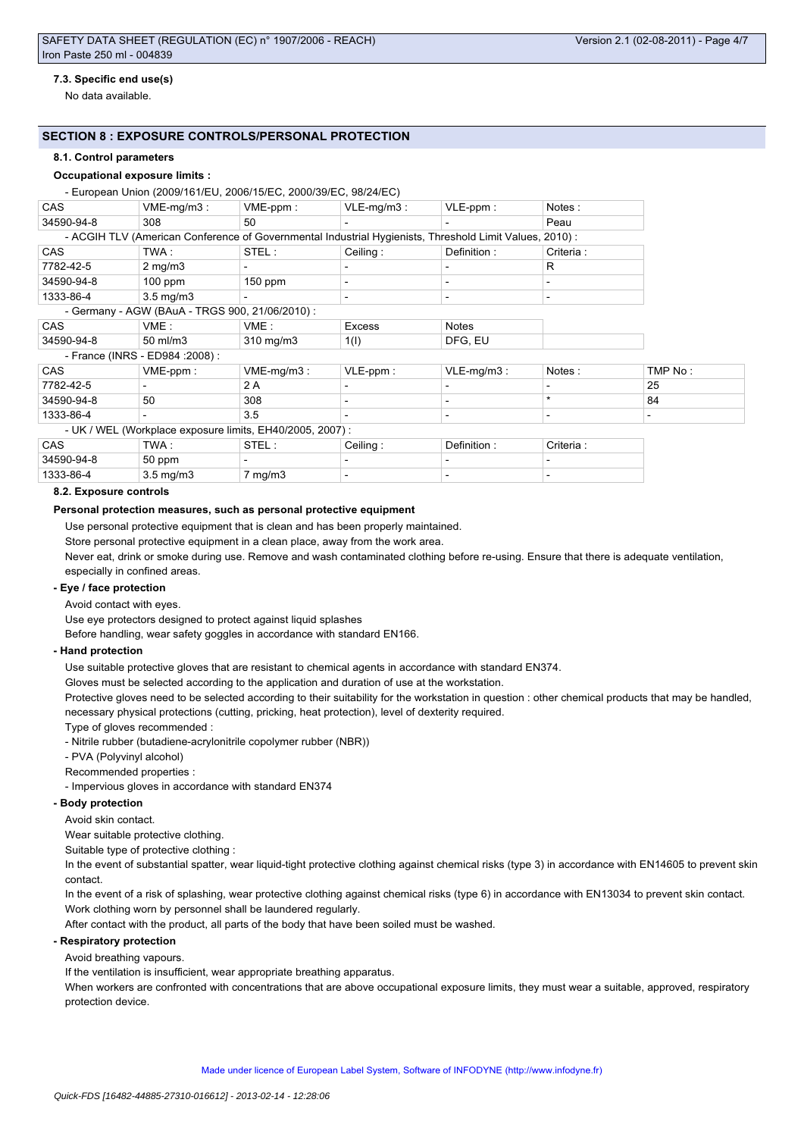## **7.3. Specific end use(s)**

No data available.

## **SECTION 8 : EXPOSURE CONTROLS/PERSONAL PROTECTION**

#### **8.1. Control parameters**

## **Occupational exposure limits :**

- European Union (2009/161/EU, 2006/15/EC, 2000/39/EC, 98/24/EC)

| <b>CAS</b>                                                                           | $VME-mq/m3:$                     | $VME-ppm$ :                                               | $VLE-mg/m3$ :                                                                                           | $VLE-ppm$ :   | Notes:     |                          |
|--------------------------------------------------------------------------------------|----------------------------------|-----------------------------------------------------------|---------------------------------------------------------------------------------------------------------|---------------|------------|--------------------------|
| 34590-94-8                                                                           | 308                              | 50                                                        |                                                                                                         |               | Peau       |                          |
|                                                                                      |                                  |                                                           | - ACGIH TLV (American Conference of Governmental Industrial Hygienists, Threshold Limit Values, 2010) : |               |            |                          |
| <b>CAS</b>                                                                           | TWA :                            | STEL:                                                     | Ceiling:                                                                                                | Definition:   | Criteria : |                          |
| 7782-42-5                                                                            | $2 \text{ mg/m}$                 |                                                           |                                                                                                         |               | R          |                          |
| 34590-94-8                                                                           | $100$ ppm                        | $150$ ppm                                                 |                                                                                                         |               |            |                          |
| 1333-86-4                                                                            | $3.5 \text{ mg/m}$               |                                                           | $\overline{\phantom{0}}$                                                                                |               |            |                          |
|                                                                                      |                                  | - Germany - AGW (BAuA - TRGS 900, 21/06/2010) :           |                                                                                                         |               |            |                          |
| <b>CAS</b>                                                                           | VME :                            | VME :                                                     | <b>Excess</b>                                                                                           | Notes         |            |                          |
| 34590-94-8                                                                           | $50$ ml/m $3$                    | 310 mg/m3                                                 | 1(1)                                                                                                    | DFG, EU       |            |                          |
|                                                                                      | - France (INRS - ED984 : 2008) : |                                                           |                                                                                                         |               |            |                          |
| <b>CAS</b>                                                                           | VME-ppm:                         | $VME-mq/m3:$                                              | $VLE-ppm$ :                                                                                             | $VLE-mq/m3$ : | Notes:     | TMP No:                  |
| 7782-42-5                                                                            |                                  | 2 A                                                       |                                                                                                         |               |            | 25                       |
| 34590-94-8                                                                           | 50                               | 308                                                       |                                                                                                         |               | $\star$    | 84                       |
| 1333-86-4                                                                            |                                  | 3.5                                                       |                                                                                                         |               |            | $\overline{\phantom{0}}$ |
|                                                                                      |                                  | - UK / WEL (Workplace exposure limits, EH40/2005, 2007) : |                                                                                                         |               |            |                          |
| <b>CAS</b>                                                                           | TWA:                             | STEL:                                                     | Ceiling:                                                                                                | Definition:   | Criteria : |                          |
| $\begin{array}{c} \n \bullet & \bullet & \bullet & \bullet & \bullet \n \end{array}$ | $ \sim$                          |                                                           |                                                                                                         |               |            |                          |

34590-94-8 | 50 ppm | - | - | - | -1333-86-4  $3.5 \text{ mg/m}$ 3 7 mg/m3

## **8.2. Exposure controls**

#### **Personal protection measures, such as personal protective equipment**

Use personal protective equipment that is clean and has been properly maintained.

Store personal protective equipment in a clean place, away from the work area.

Never eat, drink or smoke during use. Remove and wash contaminated clothing before re-using. Ensure that there is adequate ventilation,

especially in confined areas.

## **- Eye / face protection**

Avoid contact with eyes.

Use eye protectors designed to protect against liquid splashes

Before handling, wear safety goggles in accordance with standard EN166.

#### **- Hand protection**

Use suitable protective gloves that are resistant to chemical agents in accordance with standard EN374.

Gloves must be selected according to the application and duration of use at the workstation.

Protective gloves need to be selected according to their suitability for the workstation in question : other chemical products that may be handled, necessary physical protections (cutting, pricking, heat protection), level of dexterity required.

Type of gloves recommended :

- Nitrile rubber (butadiene-acrylonitrile copolymer rubber (NBR))
- PVA (Polyvinyl alcohol)

Recommended properties :

- Impervious gloves in accordance with standard EN374

## **- Body protection**

Avoid skin contact.

Wear suitable protective clothing.

Suitable type of protective clothing :

In the event of substantial spatter, wear liquid-tight protective clothing against chemical risks (type 3) in accordance with EN14605 to prevent skin contact.

In the event of a risk of splashing, wear protective clothing against chemical risks (type 6) in accordance with EN13034 to prevent skin contact. Work clothing worn by personnel shall be laundered regularly.

After contact with the product, all parts of the body that have been soiled must be washed.

## **- Respiratory protection**

Avoid breathing vapours.

If the ventilation is insufficient, wear appropriate breathing apparatus.

When workers are confronted with concentrations that are above occupational exposure limits, they must wear a suitable, approved, respiratory protection device.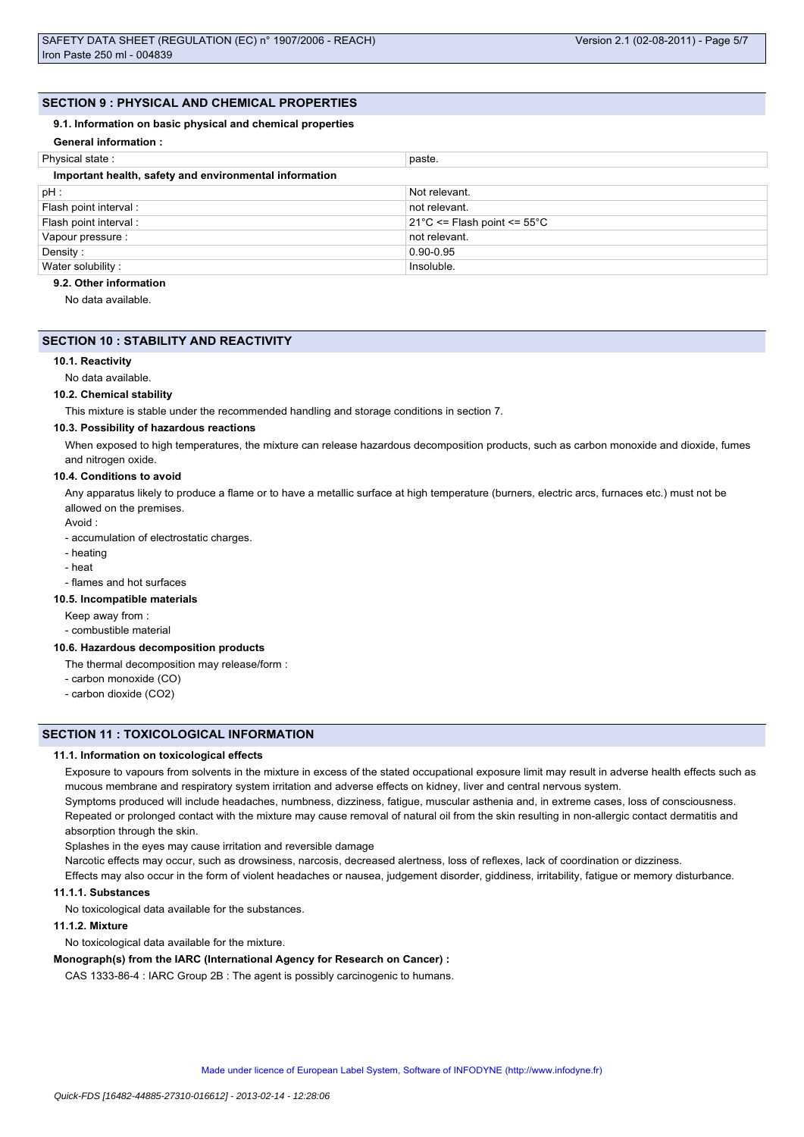## **SECTION 9 : PHYSICAL AND CHEMICAL PROPERTIES**

#### **9.1. Information on basic physical and chemical properties**

| <b>General information:</b>                            |                                                 |
|--------------------------------------------------------|-------------------------------------------------|
| Physical state:                                        | paste.                                          |
| Important health, safety and environmental information |                                                 |
| pH:                                                    | Not relevant.                                   |
| Flash point interval :                                 | not relevant.                                   |
| Flash point interval:                                  | $21^{\circ}$ C <= Flash point <= $55^{\circ}$ C |
| Vapour pressure :                                      | not relevant.                                   |
| Density:                                               | $0.90 - 0.95$                                   |
| Water solubility:                                      | Insoluble.                                      |

## **9.2. Other information**

No data available.

## **SECTION 10 : STABILITY AND REACTIVITY**

#### **10.1. Reactivity**

No data available.

#### **10.2. Chemical stability**

This mixture is stable under the recommended handling and storage conditions in section 7.

#### **10.3. Possibility of hazardous reactions**

When exposed to high temperatures, the mixture can release hazardous decomposition products, such as carbon monoxide and dioxide, fumes and nitrogen oxide.

#### **10.4. Conditions to avoid**

Any apparatus likely to produce a flame or to have a metallic surface at high temperature (burners, electric arcs, furnaces etc.) must not be allowed on the premises.

Avoid :

- accumulation of electrostatic charges.

- heating
- heat

- flames and hot surfaces

## **10.5. Incompatible materials**

Keep away from :

- combustible material

#### **10.6. Hazardous decomposition products**

The thermal decomposition may release/form :

- carbon monoxide (CO)
- carbon dioxide (CO2)

## **SECTION 11 : TOXICOLOGICAL INFORMATION**

#### **11.1. Information on toxicological effects**

Exposure to vapours from solvents in the mixture in excess of the stated occupational exposure limit may result in adverse health effects such as mucous membrane and respiratory system irritation and adverse effects on kidney, liver and central nervous system.

Symptoms produced will include headaches, numbness, dizziness, fatigue, muscular asthenia and, in extreme cases, loss of consciousness. Repeated or prolonged contact with the mixture may cause removal of natural oil from the skin resulting in non-allergic contact dermatitis and absorption through the skin.

Splashes in the eyes may cause irritation and reversible damage

Narcotic effects may occur, such as drowsiness, narcosis, decreased alertness, loss of reflexes, lack of coordination or dizziness.

Effects may also occur in the form of violent headaches or nausea, judgement disorder, giddiness, irritability, fatigue or memory disturbance. **11.1.1. Substances**

No toxicological data available for the substances.

## **11.1.2. Mixture**

No toxicological data available for the mixture.

#### **Monograph(s) from the IARC (International Agency for Research on Cancer) :**

CAS 1333-86-4 : IARC Group 2B : The agent is possibly carcinogenic to humans.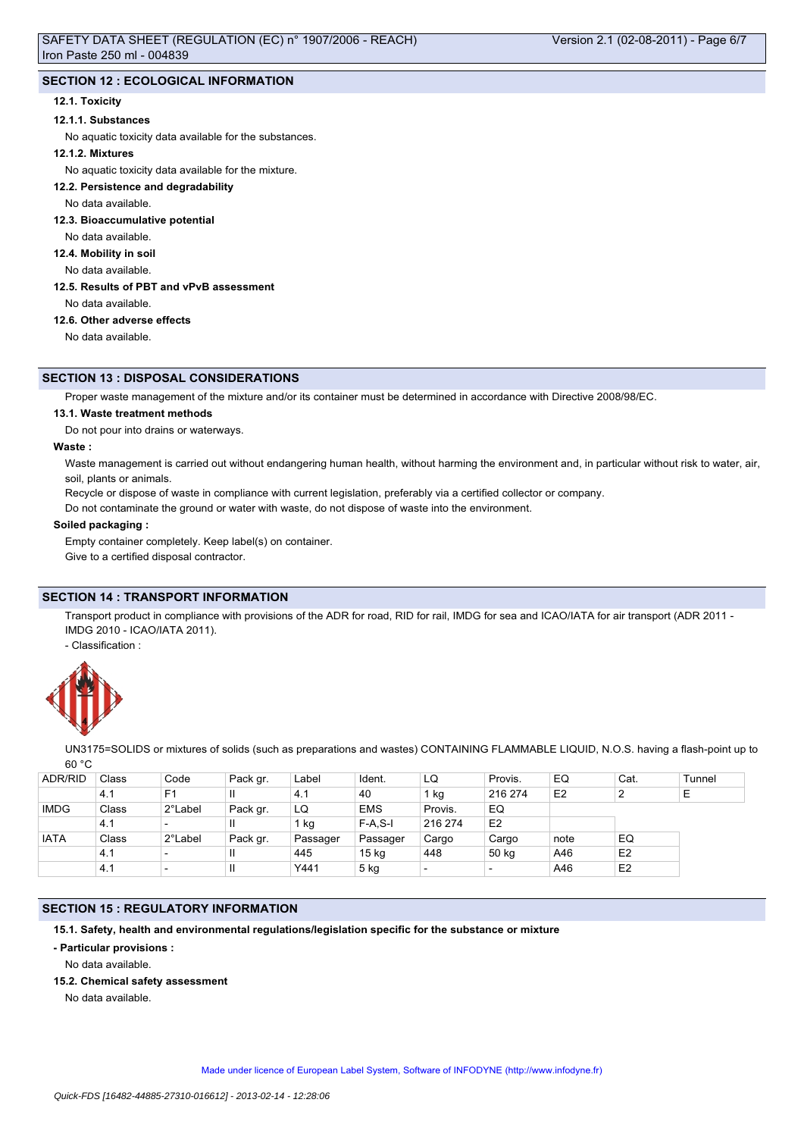# **SECTION 12 : ECOLOGICAL INFORMATION**

## **12.1. Toxicity**

#### **12.1.1. Substances**

No aquatic toxicity data available for the substances.

## **12.1.2. Mixtures**

No aquatic toxicity data available for the mixture.

**12.2. Persistence and degradability**

No data available.

**12.3. Bioaccumulative potential**

No data available.

**12.4. Mobility in soil**

No data available.

**12.5. Results of PBT and vPvB assessment**

No data available.

## **12.6. Other adverse effects**

No data available.

## **SECTION 13 : DISPOSAL CONSIDERATIONS**

Proper waste management of the mixture and/or its container must be determined in accordance with Directive 2008/98/EC.

#### **13.1. Waste treatment methods**

Do not pour into drains or waterways.

#### **Waste :**

Waste management is carried out without endangering human health, without harming the environment and, in particular without risk to water, air, soil, plants or animals.

Recycle or dispose of waste in compliance with current legislation, preferably via a certified collector or company.

Do not contaminate the ground or water with waste, do not dispose of waste into the environment.

## **Soiled packaging :**

Empty container completely. Keep label(s) on container.

Give to a certified disposal contractor.

# **SECTION 14 : TRANSPORT INFORMATION**

Transport product in compliance with provisions of the ADR for road, RID for rail, IMDG for sea and ICAO/IATA for air transport (ADR 2011 -IMDG 2010 - ICAO/IATA 2011).

- Classification :



UN3175=SOLIDS or mixtures of solids (such as preparations and wastes) CONTAINING FLAMMABLE LIQUID, N.O.S. having a flash-point up to 60 °C

| <b>ADR/RID</b> | Class | Code                     | Pack gr.     | Label    | Ident.           | LQ                       | Provis.        | EQ             | Cat.           | Tunnel |
|----------------|-------|--------------------------|--------------|----------|------------------|--------------------------|----------------|----------------|----------------|--------|
|                | 4.1   | F <sub>1</sub>           | Ш            | 4.1      | 40               | $1$ kg                   | 216 274        | E <sub>2</sub> | 2              | ᄃ      |
| <b>IMDG</b>    | Class | 2°Label                  | Pack gr.     | LQ       | <b>EMS</b>       | Provis.                  | EQ             |                |                |        |
|                | 4.1   | $\overline{\phantom{0}}$ | Ш            | 1 kg     | $F-A.S-I$        | 216 274                  | E <sub>2</sub> |                |                |        |
| <b>IATA</b>    | Class | 2°Label                  | Pack gr.     | Passager | Passager         | Cargo                    | Cargo          | note           | EQ             |        |
|                | 4.1   | $\overline{\phantom{0}}$ | $\mathbf{I}$ | 445      | 15 <sub>kg</sub> | 448                      | 50 kg          | A46            | E <sub>2</sub> |        |
|                | 4.1   | $\overline{\phantom{a}}$ | $\mathsf{I}$ | Y441     | $5$ kg           | $\overline{\phantom{0}}$ |                | A46            | E <sub>2</sub> |        |

## **SECTION 15 : REGULATORY INFORMATION**

**15.1. Safety, health and environmental regulations/legislation specific for the substance or mixture**

**- Particular provisions :**

No data available.

**15.2. Chemical safety assessment**

No data available.